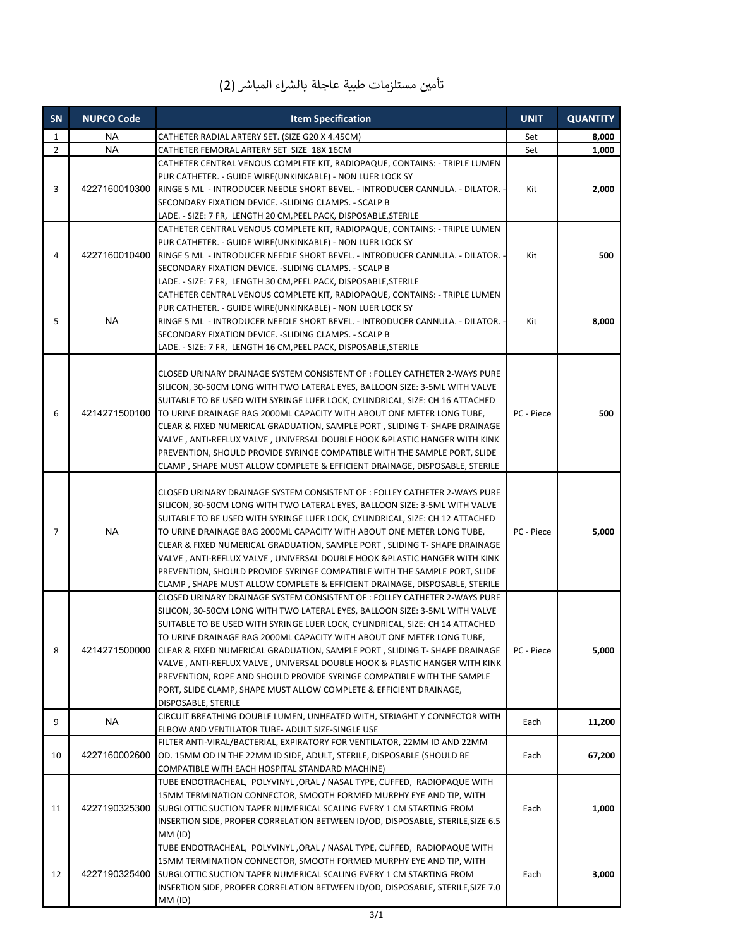| تأمين مستلزمات طبية عاجلة بالشراء المباشر (2) |  |  |  |  |  |  |  |
|-----------------------------------------------|--|--|--|--|--|--|--|
|-----------------------------------------------|--|--|--|--|--|--|--|

| SN             | <b>NUPCO Code</b> | <b>Item Specification</b>                                                       |            | <b>QUANTITY</b> |
|----------------|-------------------|---------------------------------------------------------------------------------|------------|-----------------|
| $\mathbf{1}$   | <b>NA</b>         | CATHETER RADIAL ARTERY SET. (SIZE G20 X 4.45CM)                                 |            | 8,000           |
| $\overline{2}$ | <b>NA</b>         | CATHETER FEMORAL ARTERY SET SIZE 18X 16CM                                       | Set        | 1,000           |
|                |                   | CATHETER CENTRAL VENOUS COMPLETE KIT, RADIOPAQUE, CONTAINS: - TRIPLE LUMEN      |            |                 |
|                |                   | PUR CATHETER. - GUIDE WIRE(UNKINKABLE) - NON LUER LOCK SY                       |            |                 |
| 3              | 4227160010300     | RINGE 5 ML - INTRODUCER NEEDLE SHORT BEVEL. - INTRODUCER CANNULA. - DILATOR. -  | Kit        | 2,000           |
|                |                   | SECONDARY FIXATION DEVICE. - SLIDING CLAMPS. - SCALP B                          |            |                 |
|                |                   | LADE. - SIZE: 7 FR, LENGTH 20 CM,PEEL PACK, DISPOSABLE,STERILE                  |            |                 |
|                |                   | CATHETER CENTRAL VENOUS COMPLETE KIT, RADIOPAQUE, CONTAINS: - TRIPLE LUMEN      |            |                 |
| 4              |                   | PUR CATHETER. - GUIDE WIRE(UNKINKABLE) - NON LUER LOCK SY                       |            |                 |
|                | 4227160010400     | RINGE 5 ML - INTRODUCER NEEDLE SHORT BEVEL. - INTRODUCER CANNULA. - DILATOR. -  | Kit        | 500             |
|                |                   | SECONDARY FIXATION DEVICE. - SLIDING CLAMPS. - SCALP B                          |            |                 |
|                |                   | LADE. - SIZE: 7 FR, LENGTH 30 CM, PEEL PACK, DISPOSABLE, STERILE                |            |                 |
|                |                   | CATHETER CENTRAL VENOUS COMPLETE KIT, RADIOPAQUE, CONTAINS: - TRIPLE LUMEN      |            |                 |
|                |                   | PUR CATHETER. - GUIDE WIRE(UNKINKABLE) - NON LUER LOCK SY                       |            |                 |
| 5              | <b>NA</b>         | RINGE 5 ML - INTRODUCER NEEDLE SHORT BEVEL. - INTRODUCER CANNULA. - DILATOR. -  | Kit        | 8,000           |
|                |                   | SECONDARY FIXATION DEVICE. - SLIDING CLAMPS. - SCALP B                          |            |                 |
|                |                   | LADE. - SIZE: 7 FR, LENGTH 16 CM, PEEL PACK, DISPOSABLE, STERILE                |            |                 |
|                |                   |                                                                                 |            |                 |
|                |                   | CLOSED URINARY DRAINAGE SYSTEM CONSISTENT OF : FOLLEY CATHETER 2-WAYS PURE      |            |                 |
|                |                   | SILICON, 30-50CM LONG WITH TWO LATERAL EYES, BALLOON SIZE: 3-5ML WITH VALVE     |            |                 |
|                |                   | SUITABLE TO BE USED WITH SYRINGE LUER LOCK, CYLINDRICAL, SIZE: CH 16 ATTACHED   |            |                 |
| 6              | 4214271500100     | TO URINE DRAINAGE BAG 2000ML CAPACITY WITH ABOUT ONE METER LONG TUBE,           | PC - Piece | 500             |
|                |                   | CLEAR & FIXED NUMERICAL GRADUATION, SAMPLE PORT, SLIDING T- SHAPE DRAINAGE      |            |                 |
|                |                   | VALVE, ANTI-REFLUX VALVE, UNIVERSAL DOUBLE HOOK & PLASTIC HANGER WITH KINK      |            |                 |
|                |                   | PREVENTION, SHOULD PROVIDE SYRINGE COMPATIBLE WITH THE SAMPLE PORT, SLIDE       |            |                 |
|                |                   | CLAMP, SHAPE MUST ALLOW COMPLETE & EFFICIENT DRAINAGE, DISPOSABLE, STERILE      |            |                 |
|                |                   |                                                                                 |            |                 |
| 7              | <b>NA</b>         | CLOSED URINARY DRAINAGE SYSTEM CONSISTENT OF : FOLLEY CATHETER 2-WAYS PURE      |            |                 |
|                |                   | SILICON, 30-50CM LONG WITH TWO LATERAL EYES, BALLOON SIZE: 3-5ML WITH VALVE     |            |                 |
|                |                   | SUITABLE TO BE USED WITH SYRINGE LUER LOCK, CYLINDRICAL, SIZE: CH 12 ATTACHED   |            |                 |
|                |                   | TO URINE DRAINAGE BAG 2000ML CAPACITY WITH ABOUT ONE METER LONG TUBE,           | PC - Piece | 5,000           |
|                |                   | CLEAR & FIXED NUMERICAL GRADUATION, SAMPLE PORT , SLIDING T- SHAPE DRAINAGE     |            |                 |
|                |                   | VALVE, ANTI-REFLUX VALVE, UNIVERSAL DOUBLE HOOK & PLASTIC HANGER WITH KINK      |            |                 |
|                |                   | PREVENTION, SHOULD PROVIDE SYRINGE COMPATIBLE WITH THE SAMPLE PORT, SLIDE       |            |                 |
|                |                   | CLAMP, SHAPE MUST ALLOW COMPLETE & EFFICIENT DRAINAGE, DISPOSABLE, STERILE      |            |                 |
|                | 4214271500000     | CLOSED URINARY DRAINAGE SYSTEM CONSISTENT OF : FOLLEY CATHETER 2-WAYS PURE      |            |                 |
|                |                   | SILICON, 30-50CM LONG WITH TWO LATERAL EYES, BALLOON SIZE: 3-5ML WITH VALVE     |            |                 |
| 8              |                   | SUITABLE TO BE USED WITH SYRINGE LUER LOCK, CYLINDRICAL, SIZE: CH 14 ATTACHED   |            |                 |
|                |                   | TO URINE DRAINAGE BAG 2000ML CAPACITY WITH ABOUT ONE METER LONG TUBE,           |            |                 |
|                |                   | CLEAR & FIXED NUMERICAL GRADUATION, SAMPLE PORT, SLIDING T- SHAPE DRAINAGE      | PC - Piece | 5,000           |
|                |                   | VALVE, ANTI-REFLUX VALVE, UNIVERSAL DOUBLE HOOK & PLASTIC HANGER WITH KINK      |            |                 |
|                |                   | PREVENTION, ROPE AND SHOULD PROVIDE SYRINGE COMPATIBLE WITH THE SAMPLE          |            |                 |
|                |                   | PORT, SLIDE CLAMP, SHAPE MUST ALLOW COMPLETE & EFFICIENT DRAINAGE,              |            |                 |
|                |                   | DISPOSABLE, STERILE                                                             |            |                 |
| 9              | NA                | CIRCUIT BREATHING DOUBLE LUMEN, UNHEATED WITH, STRIAGHT Y CONNECTOR WITH        | Each       | 11,200          |
|                |                   | ELBOW AND VENTILATOR TUBE- ADULT SIZE-SINGLE USE                                |            |                 |
|                |                   | FILTER ANTI-VIRAL/BACTERIAL, EXPIRATORY FOR VENTILATOR, 22MM ID AND 22MM        |            |                 |
| 10             | 4227160002600     | OD. 15MM OD IN THE 22MM ID SIDE, ADULT, STERILE, DISPOSABLE (SHOULD BE          | Each       | 67,200          |
|                |                   | COMPATIBLE WITH EACH HOSPITAL STANDARD MACHINE)                                 |            |                 |
|                | 4227190325300     | TUBE ENDOTRACHEAL, POLYVINYL ,ORAL / NASAL TYPE, CUFFED, RADIOPAQUE WITH        |            |                 |
| 11             |                   | 15MM TERMINATION CONNECTOR, SMOOTH FORMED MURPHY EYE AND TIP, WITH              |            |                 |
|                |                   | SUBGLOTTIC SUCTION TAPER NUMERICAL SCALING EVERY 1 CM STARTING FROM             | Each       | 1,000           |
|                |                   | INSERTION SIDE, PROPER CORRELATION BETWEEN ID/OD, DISPOSABLE, STERILE, SIZE 6.5 |            |                 |
|                |                   | MM (ID)                                                                         |            |                 |
|                |                   | TUBE ENDOTRACHEAL, POLYVINYL , ORAL / NASAL TYPE, CUFFED, RADIOPAQUE WITH       |            |                 |
|                | 4227190325400     | 15MM TERMINATION CONNECTOR, SMOOTH FORMED MURPHY EYE AND TIP, WITH              |            |                 |
| 12             |                   | SUBGLOTTIC SUCTION TAPER NUMERICAL SCALING EVERY 1 CM STARTING FROM             | Each       | 3,000           |
|                |                   | INSERTION SIDE, PROPER CORRELATION BETWEEN ID/OD, DISPOSABLE, STERILE, SIZE 7.0 |            |                 |
|                |                   | MM (ID)                                                                         |            |                 |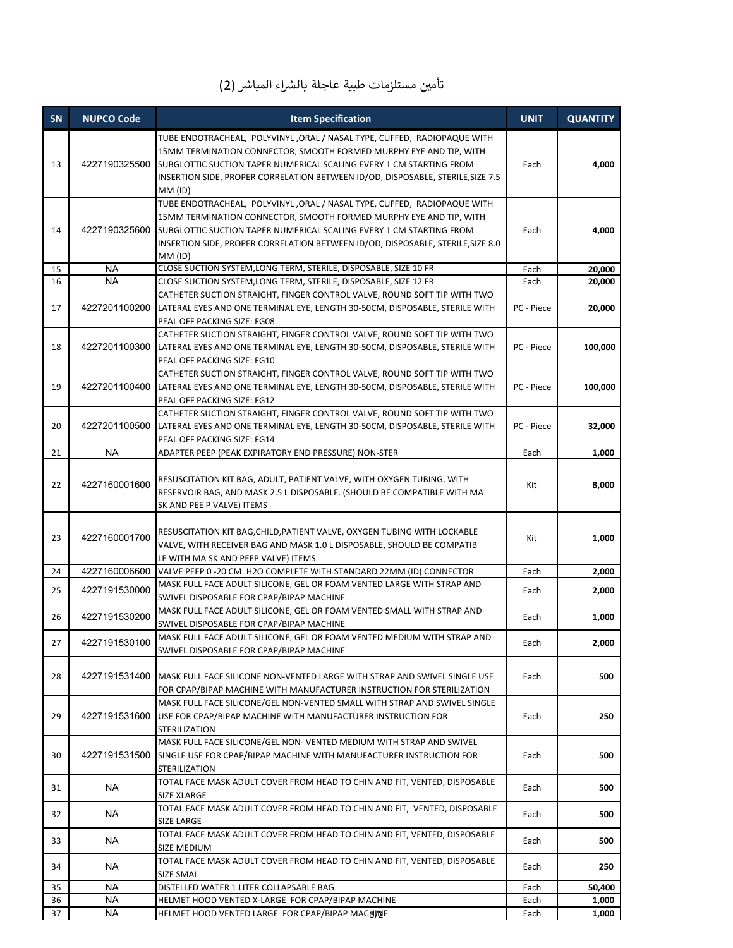## تأمين مستلزمات طبية عاجلة بالشراء المباشر (2)

| SN | <b>NUPCO Code</b> | <b>Item Specification</b>                                                                                                                                                                                                                                                                                            |            | <b>QUANTITY</b> |
|----|-------------------|----------------------------------------------------------------------------------------------------------------------------------------------------------------------------------------------------------------------------------------------------------------------------------------------------------------------|------------|-----------------|
| 13 | 4227190325500     | TUBE ENDOTRACHEAL, POLYVINYL , ORAL / NASAL TYPE, CUFFED, RADIOPAQUE WITH<br>15MM TERMINATION CONNECTOR, SMOOTH FORMED MURPHY EYE AND TIP, WITH<br>SUBGLOTTIC SUCTION TAPER NUMERICAL SCALING EVERY 1 CM STARTING FROM<br>INSERTION SIDE, PROPER CORRELATION BETWEEN ID/OD, DISPOSABLE, STERILE, SIZE 7.5<br>MM (ID) | Each       | 4,000           |
| 14 | 4227190325600     | TUBE ENDOTRACHEAL, POLYVINYL , ORAL / NASAL TYPE, CUFFED, RADIOPAQUE WITH<br>15MM TERMINATION CONNECTOR, SMOOTH FORMED MURPHY EYE AND TIP, WITH<br>SUBGLOTTIC SUCTION TAPER NUMERICAL SCALING EVERY 1 CM STARTING FROM<br>INSERTION SIDE, PROPER CORRELATION BETWEEN ID/OD, DISPOSABLE, STERILE, SIZE 8.0<br>MM (ID) | Each       | 4,000           |
| 15 | <b>NA</b>         | CLOSE SUCTION SYSTEM, LONG TERM, STERILE, DISPOSABLE, SIZE 10 FR                                                                                                                                                                                                                                                     | Each       | 20,000          |
| 16 | <b>NA</b>         | CLOSE SUCTION SYSTEM, LONG TERM, STERILE, DISPOSABLE, SIZE 12 FR                                                                                                                                                                                                                                                     | Each       | 20,000          |
| 17 | 4227201100200     | CATHETER SUCTION STRAIGHT, FINGER CONTROL VALVE, ROUND SOFT TIP WITH TWO<br>LATERAL EYES AND ONE TERMINAL EYE, LENGTH 30-50CM, DISPOSABLE, STERILE WITH<br>PEAL OFF PACKING SIZE: FG08                                                                                                                               | PC - Piece | 20,000          |
| 18 | 4227201100300     | CATHETER SUCTION STRAIGHT, FINGER CONTROL VALVE, ROUND SOFT TIP WITH TWO<br>LATERAL EYES AND ONE TERMINAL EYE, LENGTH 30-50CM, DISPOSABLE, STERILE WITH<br>PEAL OFF PACKING SIZE: FG10                                                                                                                               | PC - Piece | 100,000         |
| 19 | 4227201100400     | CATHETER SUCTION STRAIGHT, FINGER CONTROL VALVE, ROUND SOFT TIP WITH TWO<br>LATERAL EYES AND ONE TERMINAL EYE, LENGTH 30-50CM, DISPOSABLE, STERILE WITH<br>PEAL OFF PACKING SIZE: FG12                                                                                                                               | PC - Piece | 100,000         |
| 20 | 4227201100500     | CATHETER SUCTION STRAIGHT, FINGER CONTROL VALVE, ROUND SOFT TIP WITH TWO<br>LATERAL EYES AND ONE TERMINAL EYE, LENGTH 30-50CM, DISPOSABLE, STERILE WITH<br>PEAL OFF PACKING SIZE: FG14                                                                                                                               | PC - Piece | 32,000          |
| 21 | <b>NA</b>         | ADAPTER PEEP (PEAK EXPIRATORY END PRESSURE) NON-STER                                                                                                                                                                                                                                                                 | Each       | 1,000           |
| 22 | 4227160001600     | RESUSCITATION KIT BAG, ADULT, PATIENT VALVE, WITH OXYGEN TUBING, WITH<br>RESERVOIR BAG, AND MASK 2.5 L DISPOSABLE. (SHOULD BE COMPATIBLE WITH MA<br>SK AND PEE P VALVE) ITEMS                                                                                                                                        | Kit        | 8,000           |
| 23 | 4227160001700     | RESUSCITATION KIT BAG, CHILD, PATIENT VALVE, OXYGEN TUBING WITH LOCKABLE<br>VALVE, WITH RECEIVER BAG AND MASK 1.0 L DISPOSABLE, SHOULD BE COMPATIB<br>LE WITH MA SK AND PEEP VALVE) ITEMS                                                                                                                            | Kit        | 1,000           |
| 24 | 4227160006600     | VALVE PEEP 0 -20 CM. H2O COMPLETE WITH STANDARD 22MM (ID) CONNECTOR                                                                                                                                                                                                                                                  | Each       | 2,000           |
| 25 | 4227191530000     | MASK FULL FACE ADULT SILICONE, GEL OR FOAM VENTED LARGE WITH STRAP AND<br>SWIVEL DISPOSABLE FOR CPAP/BIPAP MACHINE                                                                                                                                                                                                   | Each       | 2,000           |
| 26 | 4227191530200     | MASK FULL FACE ADULT SILICONE, GEL OR FOAM VENTED SMALL WITH STRAP AND<br>SWIVEL DISPOSABLE FOR CPAP/BIPAP MACHINE                                                                                                                                                                                                   | Each       | 1,000           |
| 27 | 4227191530100     | MASK FULL FACE ADULT SILICONE, GEL OR FOAM VENTED MEDIUM WITH STRAP AND<br>SWIVEL DISPOSABLE FOR CPAP/BIPAP MACHINE                                                                                                                                                                                                  | Each       | 2,000           |
| 28 | 4227191531400     | MASK FULL FACE SILICONE NON-VENTED LARGE WITH STRAP AND SWIVEL SINGLE USE<br>FOR CPAP/BIPAP MACHINE WITH MANUFACTURER INSTRUCTION FOR STERILIZATION                                                                                                                                                                  | Each       | 500             |
| 29 | 4227191531600     | MASK FULL FACE SILICONE/GEL NON-VENTED SMALL WITH STRAP AND SWIVEL SINGLE<br>USE FOR CPAP/BIPAP MACHINE WITH MANUFACTURER INSTRUCTION FOR<br>STERILIZATION                                                                                                                                                           | Each       | 250             |
| 30 | 4227191531500     | MASK FULL FACE SILICONE/GEL NON-VENTED MEDIUM WITH STRAP AND SWIVEL<br>SINGLE USE FOR CPAP/BIPAP MACHINE WITH MANUFACTURER INSTRUCTION FOR<br><b>STERILIZATION</b>                                                                                                                                                   | Each       | 500             |
| 31 | <b>NA</b>         | TOTAL FACE MASK ADULT COVER FROM HEAD TO CHIN AND FIT, VENTED, DISPOSABLE<br>SIZE XLARGE                                                                                                                                                                                                                             | Each       | 500             |
| 32 | <b>NA</b>         | TOTAL FACE MASK ADULT COVER FROM HEAD TO CHIN AND FIT, VENTED, DISPOSABLE<br>SIZE LARGE                                                                                                                                                                                                                              | Each       | 500             |
| 33 | <b>NA</b>         | TOTAL FACE MASK ADULT COVER FROM HEAD TO CHIN AND FIT, VENTED, DISPOSABLE<br>SIZE MEDIUM                                                                                                                                                                                                                             | Each       | 500             |
| 34 | <b>NA</b>         | TOTAL FACE MASK ADULT COVER FROM HEAD TO CHIN AND FIT, VENTED, DISPOSABLE<br>SIZE SMAL                                                                                                                                                                                                                               | Each       | 250             |
| 35 | <b>NA</b>         | DISTELLED WATER 1 LITER COLLAPSABLE BAG                                                                                                                                                                                                                                                                              | Each       | 50,400          |
| 36 | <b>NA</b>         | HELMET HOOD VENTED X-LARGE FOR CPAP/BIPAP MACHINE                                                                                                                                                                                                                                                                    | Each       | 1,000           |
| 37 | <b>NA</b>         | HELMET HOOD VENTED LARGE FOR CPAP/BIPAP MACHINE                                                                                                                                                                                                                                                                      | Each       | 1,000           |